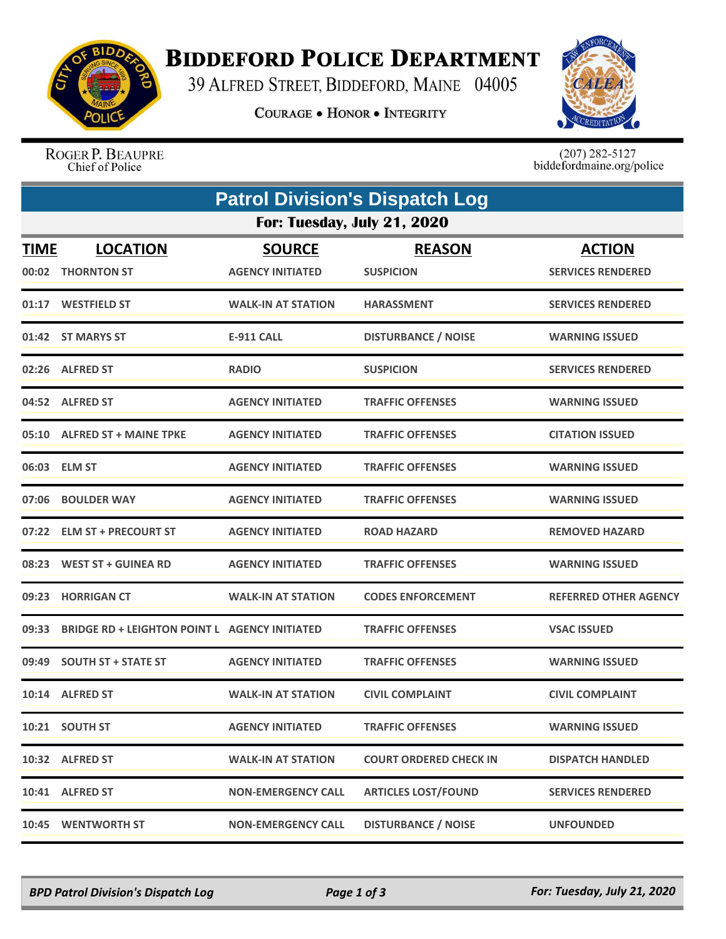

## **BIDDEFORD POLICE DEPARTMENT**

39 ALFRED STREET, BIDDEFORD, MAINE 04005

**COURAGE . HONOR . INTEGRITY** 



ROGER P. BEAUPRE Chief of Police

 $(207)$  282-5127<br>biddefordmaine.org/police

|                             | <b>Patrol Division's Dispatch Log</b>                |                                          |                                   |                                           |  |  |  |
|-----------------------------|------------------------------------------------------|------------------------------------------|-----------------------------------|-------------------------------------------|--|--|--|
| For: Tuesday, July 21, 2020 |                                                      |                                          |                                   |                                           |  |  |  |
| <b>TIME</b><br>00:02        | <b>LOCATION</b><br><b>THORNTON ST</b>                | <b>SOURCE</b><br><b>AGENCY INITIATED</b> | <b>REASON</b><br><b>SUSPICION</b> | <b>ACTION</b><br><b>SERVICES RENDERED</b> |  |  |  |
|                             | 01:17 WESTFIELD ST                                   | <b>WALK-IN AT STATION</b>                | <b>HARASSMENT</b>                 | <b>SERVICES RENDERED</b>                  |  |  |  |
|                             | 01:42 ST MARYS ST                                    | <b>E-911 CALL</b>                        | <b>DISTURBANCE / NOISE</b>        | <b>WARNING ISSUED</b>                     |  |  |  |
|                             | 02:26 ALFRED ST                                      | <b>RADIO</b>                             | <b>SUSPICION</b>                  | <b>SERVICES RENDERED</b>                  |  |  |  |
|                             | 04:52 ALFRED ST                                      | <b>AGENCY INITIATED</b>                  | <b>TRAFFIC OFFENSES</b>           | <b>WARNING ISSUED</b>                     |  |  |  |
|                             | 05:10 ALFRED ST + MAINE TPKE                         | <b>AGENCY INITIATED</b>                  | <b>TRAFFIC OFFENSES</b>           | <b>CITATION ISSUED</b>                    |  |  |  |
|                             | 06:03 ELM ST                                         | <b>AGENCY INITIATED</b>                  | <b>TRAFFIC OFFENSES</b>           | <b>WARNING ISSUED</b>                     |  |  |  |
| 07:06                       | <b>BOULDER WAY</b>                                   | <b>AGENCY INITIATED</b>                  | <b>TRAFFIC OFFENSES</b>           | <b>WARNING ISSUED</b>                     |  |  |  |
|                             | 07:22 ELM ST + PRECOURT ST                           | <b>AGENCY INITIATED</b>                  | <b>ROAD HAZARD</b>                | <b>REMOVED HAZARD</b>                     |  |  |  |
| 08:23                       | <b>WEST ST + GUINEA RD</b>                           | <b>AGENCY INITIATED</b>                  | <b>TRAFFIC OFFENSES</b>           | <b>WARNING ISSUED</b>                     |  |  |  |
| 09:23                       | <b>HORRIGAN CT</b>                                   | <b>WALK-IN AT STATION</b>                | <b>CODES ENFORCEMENT</b>          | <b>REFERRED OTHER AGENCY</b>              |  |  |  |
| 09:33                       | <b>BRIDGE RD + LEIGHTON POINT L AGENCY INITIATED</b> |                                          | <b>TRAFFIC OFFENSES</b>           | <b>VSAC ISSUED</b>                        |  |  |  |
| 09:49                       | <b>SOUTH ST + STATE ST</b>                           | <b>AGENCY INITIATED</b>                  | <b>TRAFFIC OFFENSES</b>           | <b>WARNING ISSUED</b>                     |  |  |  |
|                             | 10:14 ALFRED ST                                      | <b>WALK-IN AT STATION</b>                | <b>CIVIL COMPLAINT</b>            | <b>CIVIL COMPLAINT</b>                    |  |  |  |
|                             | 10:21 SOUTH ST                                       | <b>AGENCY INITIATED</b>                  | <b>TRAFFIC OFFENSES</b>           | <b>WARNING ISSUED</b>                     |  |  |  |
|                             | 10:32 ALFRED ST                                      | <b>WALK-IN AT STATION</b>                | <b>COURT ORDERED CHECK IN</b>     | <b>DISPATCH HANDLED</b>                   |  |  |  |
|                             | 10:41 ALFRED ST                                      | <b>NON-EMERGENCY CALL</b>                | <b>ARTICLES LOST/FOUND</b>        | <b>SERVICES RENDERED</b>                  |  |  |  |
|                             | 10:45 WENTWORTH ST                                   | <b>NON-EMERGENCY CALL</b>                | <b>DISTURBANCE / NOISE</b>        | <b>UNFOUNDED</b>                          |  |  |  |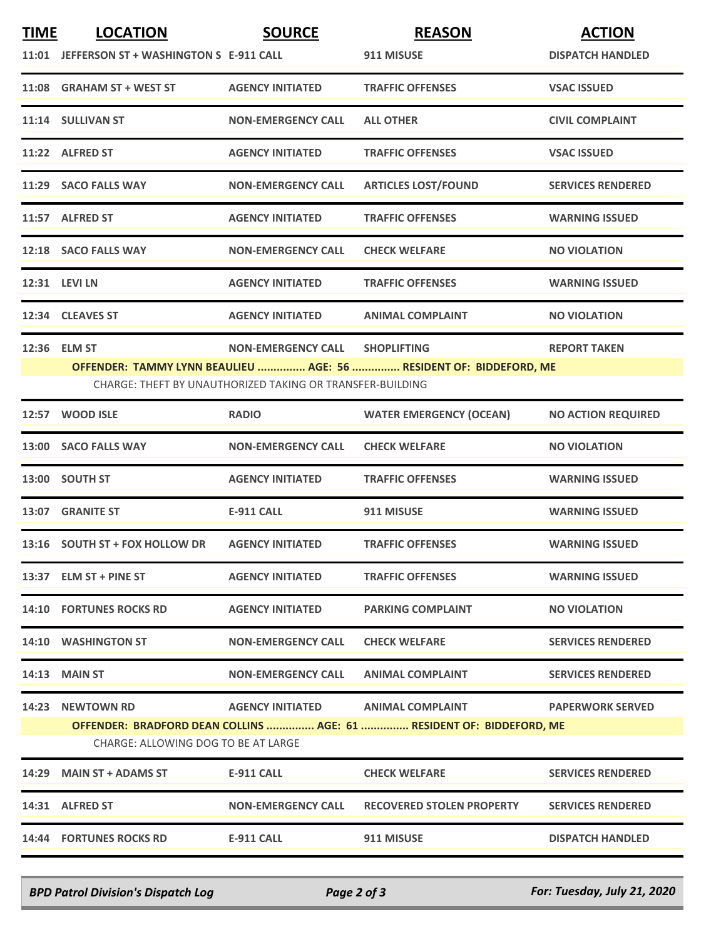| <b>TIME</b>                                                                                                 | <b>LOCATION</b>                              | <b>SOURCE</b>                                             | <b>REASON</b>                                                      | <b>ACTION</b>             |  |  |
|-------------------------------------------------------------------------------------------------------------|----------------------------------------------|-----------------------------------------------------------|--------------------------------------------------------------------|---------------------------|--|--|
|                                                                                                             | 11:01 JEFFERSON ST + WASHINGTON S E-911 CALL |                                                           | 911 MISUSE                                                         | <b>DISPATCH HANDLED</b>   |  |  |
|                                                                                                             | 11:08 GRAHAM ST + WEST ST                    | <b>AGENCY INITIATED</b>                                   | <b>TRAFFIC OFFENSES</b>                                            | <b>VSAC ISSUED</b>        |  |  |
|                                                                                                             | 11:14 SULLIVAN ST                            | <b>NON-EMERGENCY CALL</b>                                 | <b>ALL OTHER</b>                                                   | <b>CIVIL COMPLAINT</b>    |  |  |
|                                                                                                             | 11:22 ALFRED ST                              | <b>AGENCY INITIATED</b>                                   | <b>TRAFFIC OFFENSES</b>                                            | <b>VSAC ISSUED</b>        |  |  |
|                                                                                                             | 11:29 SACO FALLS WAY                         | <b>NON-EMERGENCY CALL</b>                                 | <b>ARTICLES LOST/FOUND</b>                                         | <b>SERVICES RENDERED</b>  |  |  |
|                                                                                                             | 11:57 ALFRED ST                              | <b>AGENCY INITIATED</b>                                   | <b>TRAFFIC OFFENSES</b>                                            | <b>WARNING ISSUED</b>     |  |  |
|                                                                                                             | 12:18 SACO FALLS WAY                         | <b>NON-EMERGENCY CALL</b>                                 | <b>CHECK WELFARE</b>                                               | <b>NO VIOLATION</b>       |  |  |
|                                                                                                             | 12:31 LEVI LN                                | <b>AGENCY INITIATED</b>                                   | <b>TRAFFIC OFFENSES</b>                                            | <b>WARNING ISSUED</b>     |  |  |
|                                                                                                             | 12:34 CLEAVES ST                             | <b>AGENCY INITIATED</b>                                   | <b>ANIMAL COMPLAINT</b>                                            | <b>NO VIOLATION</b>       |  |  |
|                                                                                                             | 12:36 ELM ST                                 | <b>NON-EMERGENCY CALL</b>                                 | <b>SHOPLIFTING</b>                                                 | <b>REPORT TAKEN</b>       |  |  |
|                                                                                                             |                                              |                                                           | OFFENDER: TAMMY LYNN BEAULIEU  AGE: 56  RESIDENT OF: BIDDEFORD, ME |                           |  |  |
|                                                                                                             |                                              | CHARGE: THEFT BY UNAUTHORIZED TAKING OR TRANSFER-BUILDING |                                                                    |                           |  |  |
|                                                                                                             | 12:57 WOOD ISLE                              | <b>RADIO</b>                                              | <b>WATER EMERGENCY (OCEAN)</b>                                     | <b>NO ACTION REQUIRED</b> |  |  |
|                                                                                                             | 13:00 SACO FALLS WAY                         | <b>NON-EMERGENCY CALL</b>                                 | <b>CHECK WELFARE</b>                                               | <b>NO VIOLATION</b>       |  |  |
|                                                                                                             | 13:00 SOUTH ST                               | <b>AGENCY INITIATED</b>                                   | <b>TRAFFIC OFFENSES</b>                                            | <b>WARNING ISSUED</b>     |  |  |
|                                                                                                             | 13:07 GRANITE ST                             | <b>E-911 CALL</b>                                         | 911 MISUSE                                                         | <b>WARNING ISSUED</b>     |  |  |
|                                                                                                             | 13:16 SOUTH ST + FOX HOLLOW DR               | <b>AGENCY INITIATED</b>                                   | <b>TRAFFIC OFFENSES</b>                                            | <b>WARNING ISSUED</b>     |  |  |
|                                                                                                             | 13:37 ELM ST + PINE ST                       | <b>AGENCY INITIATED</b>                                   | <b>TRAFFIC OFFENSES</b>                                            | <b>WARNING ISSUED</b>     |  |  |
|                                                                                                             | <b>14:10 FORTUNES ROCKS RD</b>               | <b>AGENCY INITIATED</b>                                   | <b>PARKING COMPLAINT</b>                                           | <b>NO VIOLATION</b>       |  |  |
|                                                                                                             | 14:10 WASHINGTON ST                          | <b>NON-EMERGENCY CALL</b>                                 | <b>CHECK WELFARE</b>                                               | <b>SERVICES RENDERED</b>  |  |  |
|                                                                                                             | <b>14:13 MAIN ST</b>                         | <b>NON-EMERGENCY CALL</b>                                 | <b>ANIMAL COMPLAINT</b>                                            | <b>SERVICES RENDERED</b>  |  |  |
|                                                                                                             | <b>14:23 NEWTOWN RD</b>                      | AGENCY INITIATED ANIMAL COMPLAINT                         |                                                                    | <b>PAPERWORK SERVED</b>   |  |  |
| OFFENDER: BRADFORD DEAN COLLINS  AGE: 61  RESIDENT OF: BIDDEFORD, ME<br>CHARGE: ALLOWING DOG TO BE AT LARGE |                                              |                                                           |                                                                    |                           |  |  |
|                                                                                                             | 14:29 MAIN ST + ADAMS ST                     | E-911 CALL                                                | <b>CHECK WELFARE</b>                                               | <b>SERVICES RENDERED</b>  |  |  |
|                                                                                                             | 14:31 ALFRED ST                              | <b>NON-EMERGENCY CALL</b>                                 | <b>RECOVERED STOLEN PROPERTY</b>                                   | <b>SERVICES RENDERED</b>  |  |  |
|                                                                                                             | 14:44 FORTUNES ROCKS RD                      | E-911 CALL                                                | 911 MISUSE                                                         | <b>DISPATCH HANDLED</b>   |  |  |

*BPD Patrol Division's Dispatch Log Page 2 of 3 For: Tuesday, July 21, 2020*